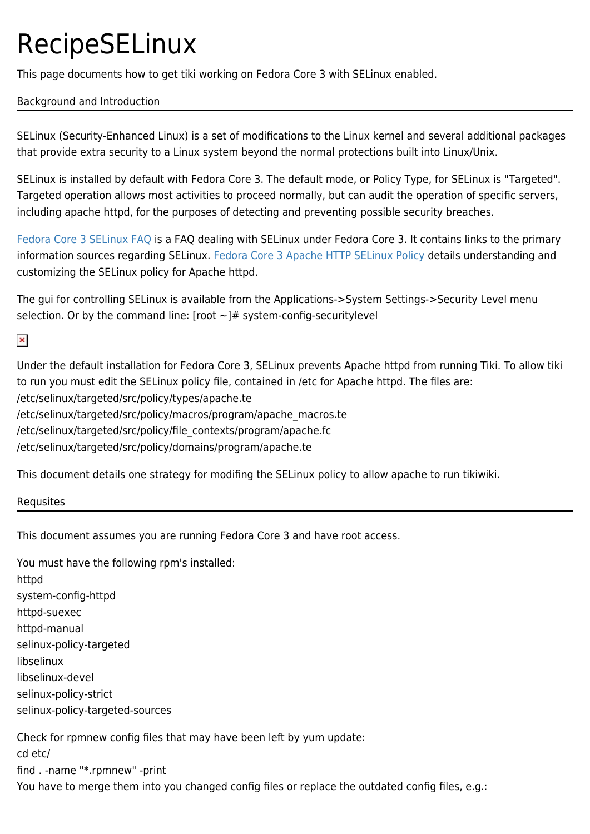## RecipeSELinux

This page documents how to get tiki working on Fedora Core 3 with SELinux enabled.

## Background and Introduction

SELinux (Security-Enhanced Linux) is a set of modifications to the Linux kernel and several additional packages that provide extra security to a Linux system beyond the normal protections built into Linux/Unix.

SELinux is installed by default with Fedora Core 3. The default mode, or Policy Type, for SELinux is "Targeted". Targeted operation allows most activities to proceed normally, but can audit the operation of specific servers, including apache httpd, for the purposes of detecting and preventing possible security breaches.

[Fedora Core 3 SELinux FAQ](http://fedora.redhat.com/docs/selinux-faq-fc3/) is a FAQ dealing with SELinux under Fedora Core 3. It contains links to the primary information sources regarding SELinux. [Fedora Core 3 Apache HTTP SELinux Policy](http://fedora.redhat.com/docs/selinux-apache-fc3/index.html) details understanding and customizing the SELinux policy for Apache httpd.

The gui for controlling SELinux is available from the Applications->System Settings->Security Level menu selection. Or by the command line: [root  $\sim$ ]# system-config-securitylevel

 $\pmb{\times}$ 

Under the default installation for Fedora Core 3, SELinux prevents Apache httpd from running Tiki. To allow tiki to run you must edit the SELinux policy file, contained in /etc for Apache httpd. The files are: /etc/selinux/targeted/src/policy/types/apache.te /etc/selinux/targeted/src/policy/macros/program/apache\_macros.te /etc/selinux/targeted/src/policy/file\_contexts/program/apache.fc /etc/selinux/targeted/src/policy/domains/program/apache.te

This document details one strategy for modifing the SELinux policy to allow apache to run tikiwiki.

Requsites

This document assumes you are running Fedora Core 3 and have root access.

You must have the following rpm's installed: httpd system-config-httpd httpd-suexec httpd-manual selinux-policy-targeted libselinux libselinux-devel selinux-policy-strict selinux-policy-targeted-sources Check for rpmnew config files that may have been left by yum update: cd etc/ find . -name "\*.rpmnew" -print

You have to merge them into you changed config files or replace the outdated config files, e.g.: